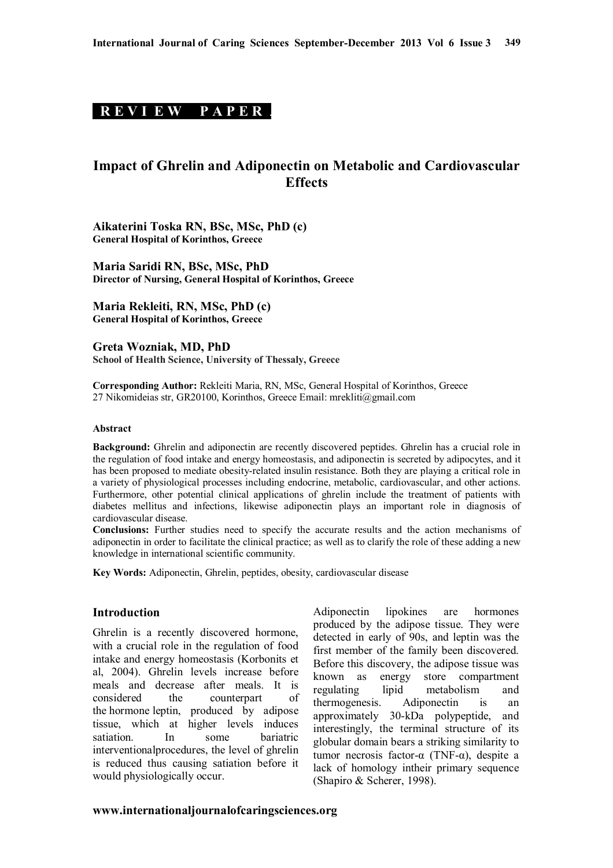# **R E V I E W P A P E R .**

# **Impact of Ghrelin and Adiponectin on Metabolic and Cardiovascular Effects**

**Aikaterini Toska RN, BSc, MSc, PhD (c) General Hospital of Korinthos, Greece**

**Maria Saridi RN, BSc, MSc, PhD Director of Nursing, General Hospital of Korinthos, Greece**

**Maria Rekleiti, RN, MSc, PhD (c) General Hospital of Korinthos, Greece**

**Greta Wozniak, MD, PhD School of Health Science, University of Thessaly, Greece**

**Corresponding Author:** Rekleiti Maria, RN, MSc, General Hospital of Korinthos, Greece 27 Nikomideias str, GR20100, Korinthos, Greece Email: mrekliti@gmail.com

#### **Abstract**

**Background:** Ghrelin and adiponectin are recently discovered peptides. Ghrelin has a crucial role in the regulation of food intake and energy homeostasis, and adiponectin is secreted by adipocytes, and it has been proposed to mediate obesity-related insulin resistance. Both they are playing a critical role in a variety of physiological processes including endocrine, metabolic, cardiovascular, and other actions. Furthermore, other potential clinical applications of ghrelin include the treatment of patients with diabetes mellitus and infections, likewise adiponectin plays an important role in diagnosis of cardiovascular disease.

**Conclusions:** Further studies need to specify the accurate results and the action mechanisms of adiponectin in order to facilitate the clinical practice; as well as to clarify the role of these adding a new knowledge in international scientific community.

**Key Words:** Adiponectin, Ghrelin, peptides, obesity, cardiovascular disease

### **Introduction**

Ghrelin is a recently discovered hormone, with a crucial role in the regulation of food intake and energy homeostasis (Korbonits et al, 2004). Ghrelin levels increase before meals and decrease after meals. It is considered the counterpart of the hormone leptin, produced by adipose tissue, which at higher levels induces satiation. In some bariatric interventionalprocedures, the level of ghrelin is reduced thus causing satiation before it would physiologically occur.

Adiponectin lipokines are hormones produced by the adipose tissue. They were detected in early of 90s, and leptin was the first member of the family been discovered. Before this discovery, the adipose tissue was known as energy store compartment regulating lipid metabolism and thermogenesis. Adiponectin is an approximately 30-kDa polypeptide, and interestingly, the terminal structure of its globular domain bears a striking similarity to tumor necrosis factor-α (TNF-α), despite a lack of homology intheir primary sequence (Shapiro & Scherer, 1998).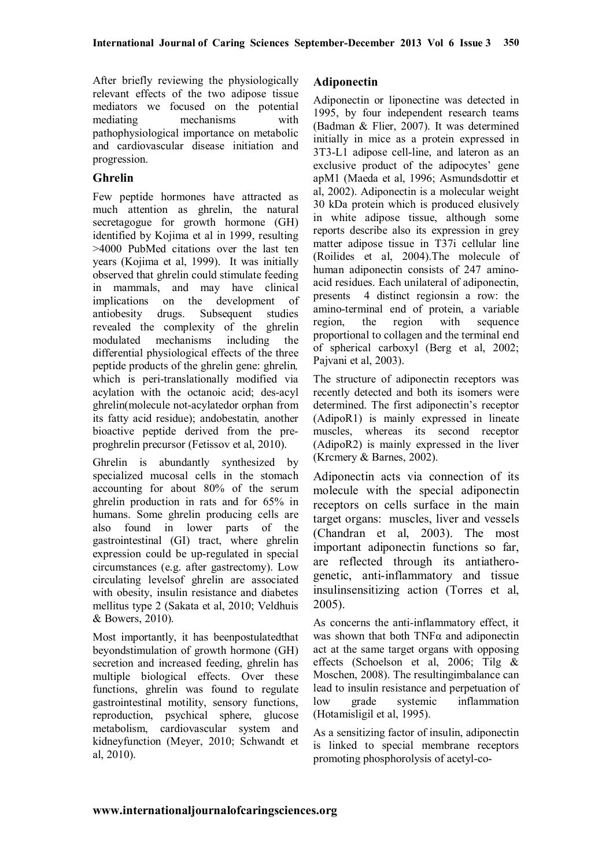After briefly reviewing the physiologically relevant effects of the two adipose tissue mediators we focused on the potential mediating mechanisms with pathophysiological importance on metabolic and cardiovascular disease initiation and progression.

### **Ghrelin**

Few peptide hormones have attracted as much attention as ghrelin, the natural secretagogue for growth hormone (GH) identified by Kojima et al in 1999, resulting >4000 PubMed citations over the last ten years (Kojima et al, 1999). It was initially observed that ghrelin could stimulate feeding in mammals, and may have clinical implications on the development of antiobesity drugs. Subsequent studies revealed the complexity of the ghrelin modulated mechanisms including the differential physiological effects of the three peptide products of the ghrelin gene: ghrelin*,*  which is peri-translationally modified via acylation with the octanoic acid; des-acyl ghrelin(molecule not-acylatedor orphan from its fatty acid residue); andobestatin*,* another bioactive peptide derived from the preproghrelin precursor (Fetissov et al, 2010).

Ghrelin is abundantly synthesized by specialized mucosal cells in the stomach accounting for about 80% of the serum ghrelin production in rats and for 65% in humans. Some ghrelin producing cells are also found in lower parts of the gastrointestinal (GI) tract, where ghrelin expression could be up-regulated in special circumstances (e.g. after gastrectomy). Low circulating levelsof ghrelin are associated with obesity, insulin resistance and diabetes mellitus type 2 (Sakata et al, 2010; Veldhuis & Bowers, 2010).

Most importantly, it has beenpostulatedthat beyondstimulation of growth hormone (GH) secretion and increased feeding, ghrelin has multiple biological effects. Over these functions, ghrelin was found to regulate gastrointestinal motility, sensory functions, reproduction, psychical sphere, glucose metabolism, cardiovascular system and kidneyfunction (Meyer, 2010; Schwandt et al, 2010).

### **Adiponectin**

Adiponectin or liponectine was detected in 1995, by four independent research teams (Badman & Flier, 2007). It was determined initially in mice as a protein expressed in 3Τ3-L1 adipose cell-line, and lateron as an exclusive product of the adipocytes' gene apM1 (Maeda et al, 1996; Asmundsdottir et al, 2002). Adiponectin is a molecular weight 30 kDa protein which is produced elusively in white adipose tissue, although some reports describe also its expression in grey matter adipose tissue in T37i cellular line (Roilides et al, 2004).The molecule of human adiponectin consists of 247 aminoacid residues. Each unilateral of adiponectin, presents 4 distinct regionsin a row: the amino-terminal end of protein, a variable region, the region with sequence proportional to collagen and the terminal end of spherical carboxyl (Berg et al, 2002; Pajvani et al, 2003).

The structure of adiponectin receptors was recently detected and both its isomers were determined. The first adiponectin's receptor (AdipoR1) is mainly expressed in lineate muscles, whereas its second receptor (AdipoR2) is mainly expressed in the liver (Krcmery & Barnes, 2002).

Adiponectin acts via connection of its molecule with the special adiponectin receptors on cells surface in the main target organs: muscles, liver and vessels (Chandran et al, 2003). The most important adiponectin functions so far, are reflected through its antiatherogenetic, anti-inflammatory and tissue insulinsensitizing action (Torres et al, 2005).

As concerns the anti-inflammatory effect, it was shown that both  $TNF\alpha$  and adiponectin act at the same target organs with opposing effects (Schoelson et al, 2006; Tilg & Moschen, 2008). The resultingimbalance can lead to insulin resistance and perpetuation of low grade systemic inflammation (Hotamisligil et al, 1995).

As a sensitizing factor of insulin, adiponectin is linked to special membrane receptors promoting phosphorolysis of acetyl-co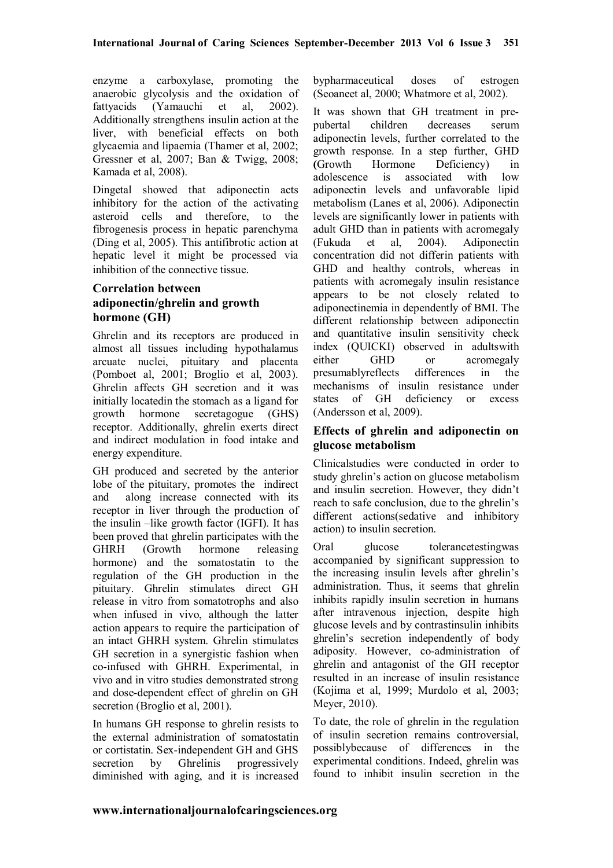enzyme a carboxylase, promoting the anaerobic glycolysis and the oxidation of fattyacids (Yamauchi et al, 2002). Additionally strengthens insulin action at the liver, with beneficial effects on both glycaemia and lipaemia (Thamer et al, 2002; Gressner et al, 2007; Ban & Twigg, 2008; Kamada et al, 2008).

Dingetal showed that adiponectin acts inhibitory for the action of the activating asteroid cells and therefore, to the fibrogenesis process in hepatic parenchyma (Ding et al, 2005). This antifibrotic action at hepatic level it might be processed via inhibition of the connective tissue.

# **Correlation between adiponectin/ghrelin and growth hormone (GH)**

Ghrelin and its receptors are produced in almost all tissues including hypothalamus arcuate nuclei, pituitary and placenta (Pomboet al, 2001; Broglio et al, 2003). Ghrelin affects GH secretion and it was initially locatedin the stomach as a ligand for growth hormone secretagogue (GHS) receptor. Additionally, ghrelin exerts direct and indirect modulation in food intake and energy expenditure.

GH produced and secreted by the anterior lobe of the pituitary, promotes the indirect and along increase connected with its receptor in liver through the production of the insulin –like growth factor (IGFI). It has been proved that ghrelin participates with the GHRH (Growth hormone releasing hormone) and the somatostatin to the regulation of the GH production in the pituitary. Ghrelin stimulates direct GH release in vitro from somatotrophs and also when infused in vivo, although the latter action appears to require the participation of an intact GHRH system. Ghrelin stimulates GH secretion in a synergistic fashion when co-infused with GHRH. Experimental, in vivo and in vitro studies demonstrated strong and dose-dependent effect of ghrelin on GH secretion (Broglio et al, 2001).

In humans GH response to ghrelin resists to the external administration of somatostatin or cortistatin. Sex-independent GH and GHS secretion by Ghrelinis progressively diminished with aging, and it is increased bypharmaceutical doses of estrogen (Seoaneet al, 2000; Whatmore et al, 2002).

It was shown that GH treatment in prepubertal children decreases serum adiponectin levels, further correlated to the growth response. In a step further, GHD **(**Growth Hormone Deficiency) in adolescence is associated with low adiponectin levels and unfavorable lipid metabolism (Lanes et al, 2006). Adiponectin levels are significantly lower in patients with adult GHD than in patients with acromegaly (Fukuda et al, 2004). Adiponectin concentration did not differin patients with GHD and healthy controls, whereas in patients with acromegaly insulin resistance appears to be not closely related to adiponectinemia in dependently of BMI. The different relationship between adiponectin and quantitative insulin sensitivity check index (QUICKI) observed in adultswith either GHD or acromegaly presumablyreflects differences in the mechanisms of insulin resistance under states of GH deficiency or excess (Andersson et al, 2009).

### **Effects of ghrelin and adiponectin on glucose metabolism**

Clinicalstudies were conducted in order to study ghrelin's action on glucose metabolism and insulin secretion. However, they didn't reach to safe conclusion, due to the ghrelin's different actions(sedative and inhibitory action) to insulin secretion.

Oral glucose tolerancetestingwas accompanied by significant suppression to the increasing insulin levels after ghrelin's administration. Thus, it seems that ghrelin inhibits rapidly insulin secretion in humans after intravenous injection, despite high glucose levels and by contrastinsulin inhibits ghrelin's secretion independently of body adiposity. However, co-administration of ghrelin and antagonist of the GH receptor resulted in an increase of insulin resistance (Kojima et al, 1999; Murdolo et al, 2003; Meyer, 2010).

To date, the role of ghrelin in the regulation of insulin secretion remains controversial, possiblybecause of differences in the experimental conditions. Indeed, ghrelin was found to inhibit insulin secretion in the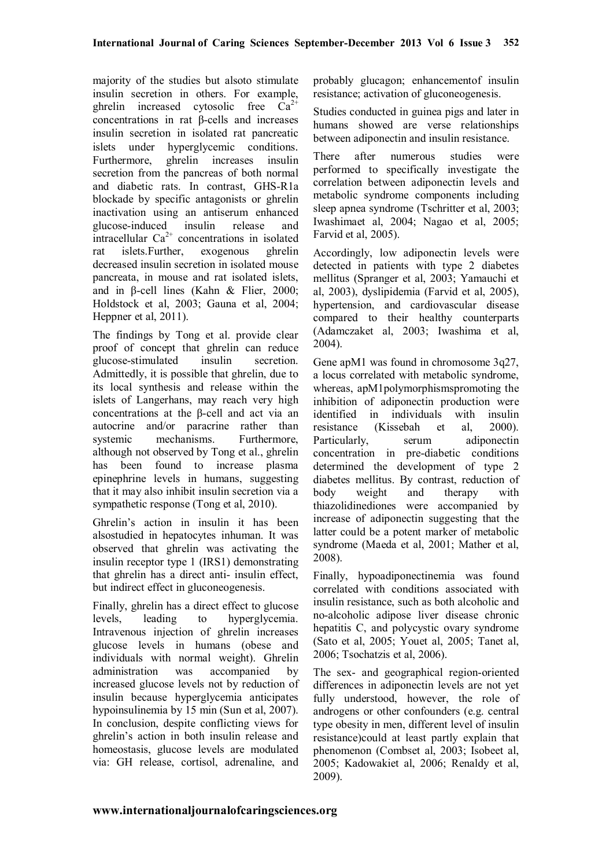majority of the studies but alsoto stimulate insulin secretion in others. For example, ghrelin increased cytosolic free  $Ca^{2+}$ concentrations in rat β-cells and increases insulin secretion in isolated rat pancreatic islets under hyperglycemic conditions. Furthermore, ghrelin increases insulin secretion from the pancreas of both normal and diabetic rats. In contrast, GHS-R1a blockade by specific antagonists or ghrelin inactivation using an antiserum enhanced glucose-induced insulin release and intracellular  $Ca^{2+}$  concentrations in isolated rat islets.Further, exogenous ghrelin decreased insulin secretion in isolated mouse pancreata, in mouse and rat isolated islets, and in β-cell lines (Kahn & Flier, 2000; Holdstock et al, 2003; Gauna et al, 2004; Heppner et al, 2011).

The findings by Tong et al. provide clear proof of concept that ghrelin can reduce glucose-stimulated insulin secretion. Admittedly, it is possible that ghrelin, due to its local synthesis and release within the islets of Langerhans, may reach very high concentrations at the β-cell and act via an autocrine and/or paracrine rather than systemic mechanisms. Furthermore, although not observed by Tong et al., ghrelin has been found to increase plasma epinephrine levels in humans, suggesting that it may also inhibit insulin secretion via a sympathetic response (Tong et al, 2010).

Ghrelin's action in insulin it has been alsostudied in hepatocytes inhuman. It was observed that ghrelin was activating the insulin receptor type 1 (IRS1) demonstrating that ghrelin has a direct anti- insulin effect, but indirect effect in gluconeogenesis.

Finally, ghrelin has a direct effect to glucose levels, leading to hyperglycemia. Intravenous injection of ghrelin increases glucose levels in humans (obese and individuals with normal weight). Ghrelin administration was accompanied by increased glucose levels not by reduction of insulin because hyperglycemia anticipates hypoinsulinemia by 15 min (Sun et al, 2007). In conclusion, despite conflicting views for ghrelin's action in both insulin release and homeostasis, glucose levels are modulated via: GH release, cortisol, adrenaline, and

probably glucagon; enhancementof insulin resistance; activation of gluconeogenesis.

Studies conducted in guinea pigs and later in humans showed are verse relationships between adiponectin and insulin resistance.

There after numerous studies were performed to specifically investigate the correlation between adiponectin levels and metabolic syndrome components including sleep apnea syndrome (Tschritter et al, 2003; Iwashimaet al, 2004; Nagao et al, 2005; Farvid et al, 2005).

Accordingly, low adiponectin levels were detected in patients with type 2 diabetes mellitus (Spranger et al, 2003; Yamauchi et al, 2003), dyslipidemia (Farvid et al, 2005), hypertension, and cardiovascular disease compared to their healthy counterparts (Adamczaket al, 2003; Iwashima et al, 2004).

Gene apM1 was found in chromosome 3q27, a locus correlated with metabolic syndrome, whereas, apM1polymorphismspromoting the inhibition of adiponectin production were identified in individuals with insulin resistance (Kissebah et al, 2000). Particularly, serum adiponectin concentration in pre-diabetic conditions determined the development of type 2 diabetes mellitus. By contrast, reduction of body weight and therapy with thiazolidinediones were accompanied by increase of adiponectin suggesting that the latter could be a potent marker of metabolic syndrome (Maeda et al, 2001; Mather et al, 2008).

Finally, hypoadiponectinemia was found correlated with conditions associated with insulin resistance, such as both alcoholic and no-alcoholic adipose liver disease chronic hepatitis C, and polycystic ovary syndrome (Sato et al, 2005; Youet al, 2005; Tanet al, 2006; Tsochatzis et al, 2006).

The sex- and geographical region-oriented differences in adiponectin levels are not yet fully understood, however, the role of androgens or other confounders (e.g. central type obesity in men, different level of insulin resistance)could at least partly explain that phenomenon (Combset al, 2003; Isobeet al, 2005; Kadowakiet al, 2006; Renaldy et al, 2009).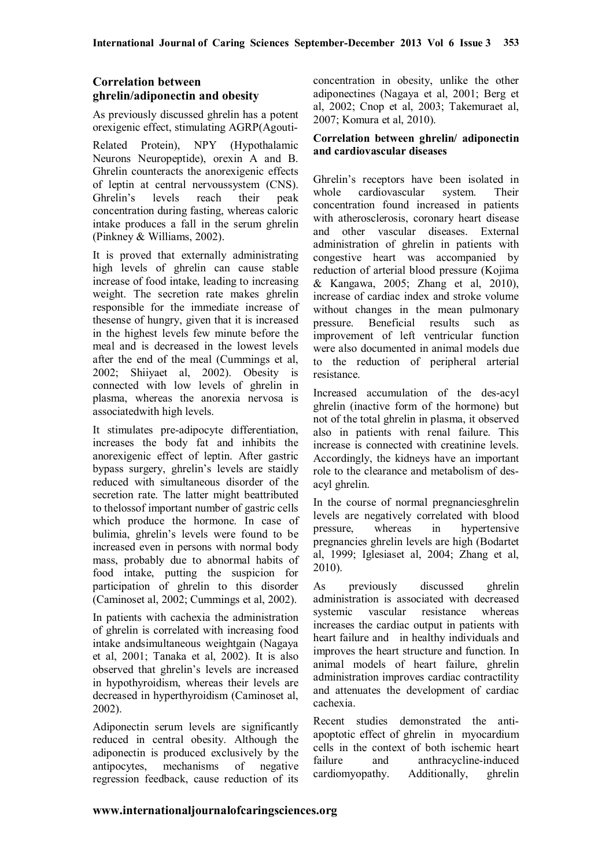# **Correlation between ghrelin/adiponectin and obesity**

As previously discussed ghrelin has a potent orexigenic effect, stimulating AGRP(Agouti-

Related Protein), NPY (Hypothalamic Neurons Neuropeptide), orexin A and B. Ghrelin counteracts the anorexigenic effects of leptin at central nervoussystem (CNS). Ghrelin's levels reach their peak concentration during fasting, whereas caloric intake produces a fall in the serum ghrelin (Pinkney & Williams, 2002).

It is proved that externally administrating high levels of ghrelin can cause stable increase of food intake, leading to increasing weight. The secretion rate makes ghrelin responsible for the immediate increase of thesense of hungry, given that it is increased in the highest levels few minute before the meal and is decreased in the lowest levels after the end of the meal (Cummings et al, 2002; Shiiyaet al, 2002). Obesity is connected with low levels of ghrelin in plasma, whereas the anorexia nervosa is associatedwith high levels.

It stimulates pre-adipocyte differentiation, increases the body fat and inhibits the anorexigenic effect of leptin. After gastric bypass surgery, ghrelin's levels are staidly reduced with simultaneous disorder of the secretion rate. The latter might beattributed to thelossof important number of gastric cells which produce the hormone. In case of bulimia, ghrelin's levels were found to be increased even in persons with normal body mass, probably due to abnormal habits of food intake, putting the suspicion for participation of ghrelin to this disorder (Caminoset al, 2002; Cummings et al, 2002).

In patients with cachexia the administration of ghrelin is correlated with increasing food intake andsimultaneous weightgain (Nagaya et al, 2001; Tanaka et al, 2002). It is also observed that ghrelin's levels are increased in hypothyroidism, whereas their levels are decreased in hyperthyroidism (Caminoset al, 2002).

Adiponectin serum levels are significantly reduced in central obesity. Although the adiponectin is produced exclusively by the antipocytes, mechanisms of negative regression feedback, cause reduction of its

concentration in obesity, unlike the other adiponectines (Nagaya et al, 2001; Berg et al, 2002; Cnop et al, 2003; Takemuraet al, 2007; Komura et al, 2010).

### **Correlation between ghrelin/ adiponectin and cardiovascular diseases**

Ghrelin's receptors have been isolated in whole cardiovascular system. Their concentration found increased in patients with atherosclerosis, coronary heart disease and other vascular diseases. External administration of ghrelin in patients with congestive heart was accompanied by reduction of arterial blood pressure (Kojima & Kangawa, 2005; Zhang et al, 2010), increase of cardiac index and stroke volume without changes in the mean pulmonary pressure. Beneficial results such as improvement of left ventricular function were also documented in animal models due to the reduction of peripheral arterial resistance.

Increased accumulation of the des-acyl ghrelin (inactive form of the hormone) but not of the total ghrelin in plasma, it observed also in patients with renal failure. This increase is connected with creatinine levels. Accordingly, the kidneys have an important role to the clearance and metabolism of desacyl ghrelin.

In the course of normal pregnanciesghrelin levels are negatively correlated with blood pressure, whereas in hypertensive pregnancies ghrelin levels are high (Bodartet al, 1999; Iglesiaset al, 2004; Zhang et al, 2010).

As previously discussed ghrelin administration is associated with decreased systemic vascular resistance whereas increases the cardiac output in patients with heart failure and in healthy individuals and improves the heart structure and function. In animal models of heart failure, ghrelin administration improves cardiac contractility and attenuates the development of cardiac cachexia.

Recent studies demonstrated the antiapoptotic effect of ghrelin in myocardium cells in the context of both ischemic heart failure and anthracycline-induced cardiomyopathy. Additionally, ghrelin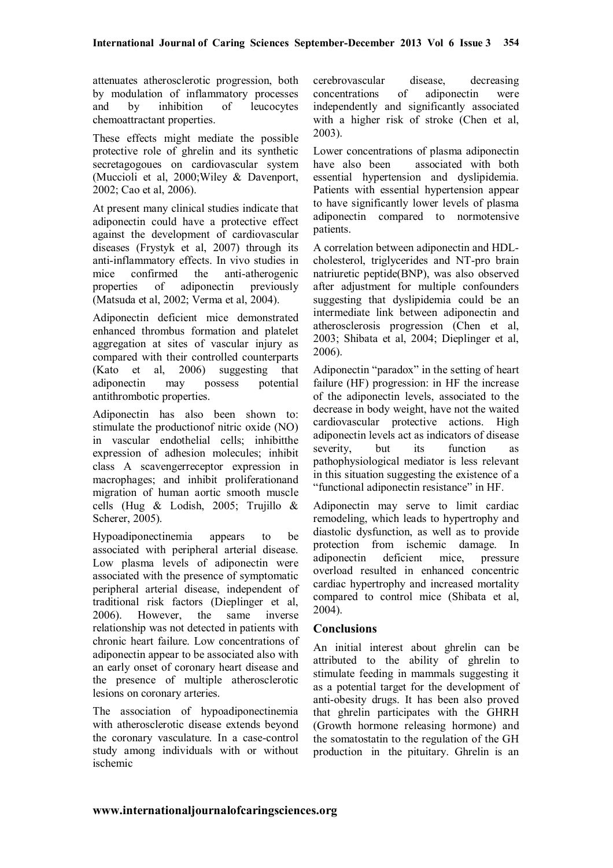attenuates atherosclerotic progression, both by modulation of inflammatory processes and by inhibition of leucocytes chemoattractant properties.

These effects might mediate the possible protective role of ghrelin and its synthetic secretagogoues on cardiovascular system (Muccioli et al, 2000;Wiley & Davenport, 2002; Cao et al, 2006).

At present many clinical studies indicate that adiponectin could have a protective effect against the development of cardiovascular diseases (Frystyk et al, 2007) through its anti-inflammatory effects. In vivo studies in mice confirmed the anti-atherogenic properties of adiponectin previously (Matsuda et al, 2002; Verma et al, 2004).

Adiponectin deficient mice demonstrated enhanced thrombus formation and platelet aggregation at sites of vascular injury as compared with their controlled counterparts (Kato et al, 2006) suggesting that adiponectin may possess potential antithrombotic properties.

Adiponectin has also been shown to: stimulate the productionof nitric oxide (NO) in vascular endothelial cells; inhibitthe expression of adhesion molecules; inhibit class A scavengerreceptor expression in macrophages; and inhibit proliferationand migration of human aortic smooth muscle cells (Hug & Lodish, 2005; Trujillo & Scherer, 2005).

Hypoadiponectinemia appears to be associated with peripheral arterial disease. Low plasma levels of adiponectin were associated with the presence of symptomatic peripheral arterial disease, independent of traditional risk factors (Dieplinger et al, 2006). However, the same inverse relationship was not detected in patients with chronic heart failure. Low concentrations of adiponectin appear to be associated also with an early onset of coronary heart disease and the presence of multiple atherosclerotic lesions on coronary arteries.

The association of hypoadiponectinemia with atherosclerotic disease extends beyond the coronary vasculature. In a case-control study among individuals with or without ischemic

cerebrovascular disease, decreasing concentrations of adiponectin were independently and significantly associated with a higher risk of stroke (Chen et al, 2003).

Lower concentrations of plasma adiponectin have also been associated with both essential hypertension and dyslipidemia. Patients with essential hypertension appear to have significantly lower levels of plasma adiponectin compared to normotensive patients.

A correlation between adiponectin and HDLcholesterol, triglycerides and NT-pro brain natriuretic peptide(BNP), was also observed after adjustment for multiple confounders suggesting that dyslipidemia could be an intermediate link between adiponectin and atherosclerosis progression (Chen et al, 2003; Shibata et al, 2004; Dieplinger et al, 2006).

Adiponectin "paradox" in the setting of heart failure (HF) progression: in HF the increase of the adiponectin levels, associated to the decrease in body weight, have not the waited cardiovascular protective actions. High adiponectin levels act as indicators of disease severity, but its function as pathophysiological mediator is less relevant in this situation suggesting the existence of a "functional adiponectin resistance" in HF.

Adiponectin may serve to limit cardiac remodeling, which leads to hypertrophy and diastolic dysfunction, as well as to provide protection from ischemic damage. In adiponectin deficient mice, pressure overload resulted in enhanced concentric cardiac hypertrophy and increased mortality compared to control mice (Shibata et al, 2004).

## **Conclusions**

An initial interest about ghrelin can be attributed to the ability of ghrelin to stimulate feeding in mammals suggesting it as a potential target for the development of anti-obesity drugs. It has been also proved that ghrelin participates with the GHRH (Growth hormone releasing hormone) and the somatostatin to the regulation of the GH production in the pituitary. Ghrelin is an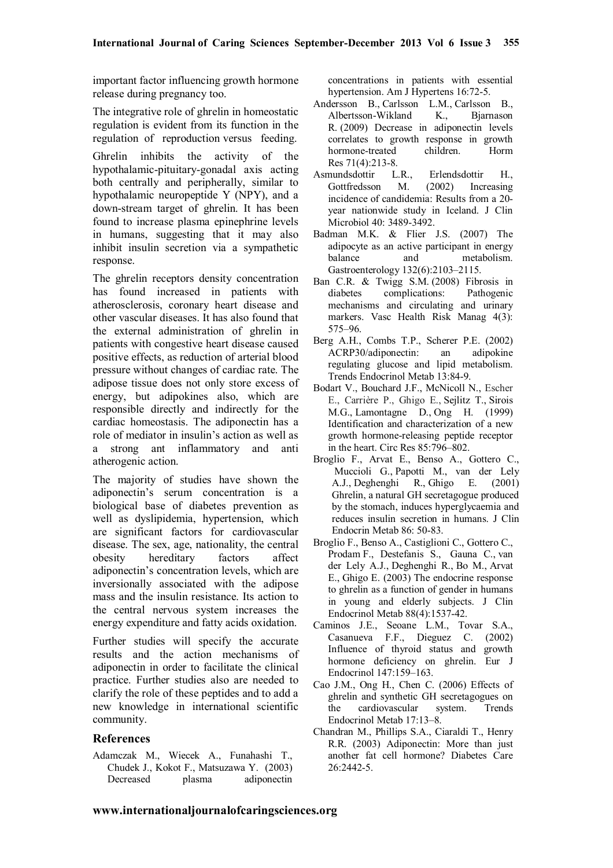important factor influencing growth hormone release during pregnancy too.

The integrative role of ghrelin in homeostatic regulation is evident from its function in the regulation of reproduction versus feeding.

Ghrelin inhibits the activity of the hypothalamic-pituitary-gonadal axis acting both centrally and peripherally, similar to hypothalamic neuropeptide Y (NPY), and a down-stream target of ghrelin. It has been found to increase plasma epinephrine levels in humans, suggesting that it may also inhibit insulin secretion via a sympathetic response.

The ghrelin receptors density concentration has found increased in patients with atherosclerosis, coronary heart disease and other vascular diseases. It has also found that the external administration of ghrelin in patients with congestive heart disease caused positive effects, as reduction of arterial blood pressure without changes of cardiac rate. The adipose tissue does not only store excess of energy, but adipokines also, which are responsible directly and indirectly for the cardiac homeostasis. The adiponectin has a role of mediator in insulin's action as well as a strong ant inflammatory and anti atherogenic action.

The majority of studies have shown the adiponectin's serum concentration is a biological base of diabetes prevention as well as dyslipidemia, hypertension, which are significant factors for cardiovascular disease. The sex, age, nationality, the central obesity hereditary factors affect adiponectin's concentration levels, which are inversionally associated with the adipose mass and the insulin resistance. Its action to the central nervous system increases the energy expenditure and fatty acids oxidation.

Further studies will specify the accurate results and the action mechanisms of adiponectin in order to facilitate the clinical practice. Further studies also are needed to clarify the role of these peptides and to add a new knowledge in international scientific community.

### **References**

Adamczak M., Wiecek A., Funahashi T., Chudek J., Kokot F., Matsuzawa Y. (2003) Decreased plasma adiponectin

concentrations in patients with essential hypertension. Am J Hypertens 16:72-5.

- Andersson B., Carlsson L.M., Carlsson B., Albertsson-Wikland K., Bjarnason R. (2009) Decrease in adiponectin levels correlates to growth response in growth hormone-treated children. Horm Res 71(4):213-8.
- Asmundsdottir L.R., Erlendsdottir H., Gottfredsson M. (2002) Increasing incidence of candidemia: Results from a 20 year nationwide study in Iceland. J Clin Microbiol 40: 3489-3492.
- Badman M.K. & Flier J.S. (2007) The adipocyte as an active participant in energy balance and metabolism. Gastroenterology 132(6):2103–2115.
- Ban C.R. & Twigg S.M. (2008) Fibrosis in diabetes complications: Pathogenic mechanisms and circulating and urinary markers. Vasc Health Risk Manag 4(3): 575–96.
- Berg A.H., Combs T.P., Scherer P.E. (2002) ACRP30/adiponectin: an adipokine regulating glucose and lipid metabolism. Trends Endocrinol Metab 13:84-9.
- Bodart V., Bouchard J.F., McNicoll N., Escher E., Carrière P., Ghigo E., Sejlitz T., Sirois M.G., Lamontagne D., Ong H. (1999) Identification and characterization of a new growth hormone-releasing peptide receptor in the heart. Circ Res 85:796–802.
- Broglio F., Arvat E., Benso A., Gottero C., Muccioli G., Papotti M., van der Lely A.J., Deghenghi R., Ghigo E. (2001) Ghrelin, a natural GH secretagogue produced by the stomach, induces hyperglycaemia and reduces insulin secretion in humans. J Clin Endocrin Metab 86: 50-83.
- Broglio F., Benso A., Castiglioni C., Gottero C., Prodam F., Destefanis S., Gauna C., van der Lely A.J., Deghenghi R., Bo M., Arvat E., Ghigo E. (2003) The endocrine response to ghrelin as a function of gender in humans in young and elderly subjects. J Clin Endocrinol Metab 88(4):1537-42.
- Caminos J.E., Seoane L.M., Tovar S.A., Casanueva F.F., Dieguez C. (2002) Influence of thyroid status and growth hormone deficiency on ghrelin. Eur J Endocrinol 147:159–163.
- Cao J.M., Ong H., Chen C. (2006) Effects of ghrelin and synthetic GH secretagogues on the cardiovascular system. Trends Endocrinol Metab 17:13–8.
- Chandran M., Phillips S.A., Ciaraldi T., Henry R.R. (2003) Adiponectin: More than just another fat cell hormone? Diabetes Care 26:2442-5.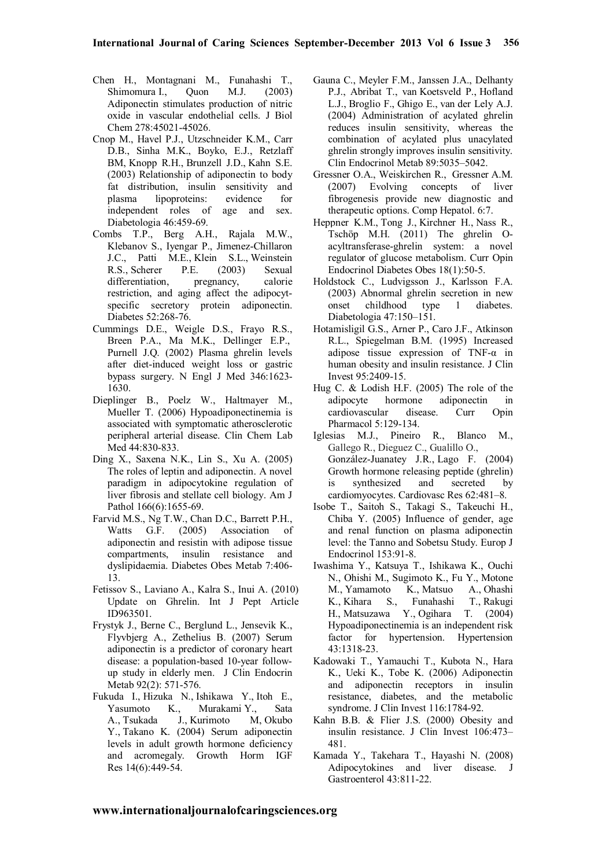- Chen H., Montagnani M., Funahashi T., Shimomura I., Ouon M.J. (2003) Adiponectin stimulates production of nitric oxide in vascular endothelial cells. J Biol Chem 278:45021-45026.
- Cnop M., Havel P.J., Utzschneider K.M., Carr D.B., Sinha M.K., Boyko, E.J., Retzlaff BM, Knopp R.H., Brunzell J.D., Kahn S.E. (2003) Relationship of adiponectin to body fat distribution, insulin sensitivity and plasma lipoproteins: evidence for independent roles of age and sex. Diabetologia 46:459-69.
- Combs T.P., Berg A.H., Rajala M.W., Klebanov S., Iyengar P., Jimenez-Chillaron J.C., Patti M.E., Klein S.L., Weinstein R.S., Scherer P.E. (2003) Sexual differentiation, pregnancy, calorie restriction, and aging affect the adipocytspecific secretory protein adiponectin. Diabetes 52:268-76.
- Cummings D.E., Weigle D.S., Frayo R.S., Breen P.A., Ma M.K., Dellinger E.P., Purnell J.Q. (2002) Plasma ghrelin levels after diet-induced weight loss or gastric bypass surgery. N Engl J Med 346:1623- 1630.
- Dieplinger B., Poelz W., Haltmayer M., Mueller T. (2006) Hypoadiponectinemia is associated with symptomatic atherosclerotic peripheral arterial disease. Clin Chem Lab Med 44:830-833.
- Ding X., Saxena N.K., Lin S., Xu A. (2005) The roles of leptin and adiponectin. A novel paradigm in adipocytokine regulation of liver fibrosis and stellate cell biology. Am J Pathol 166(6):1655-69.
- Farvid M.S., Ng T.W., Chan D.C., Barrett P.H., Watts G.F. (2005) Association of adiponectin and resistin with adipose tissue compartments, insulin resistance and dyslipidaemia. Diabetes Obes Metab 7:406- 13.
- Fetissov S., Laviano A., Kalra S., Inui A. (2010) Update on Ghrelin. Int J Pept Article ID963501.
- Frystyk J., Berne C., Berglund L., Jensevik K., Flyvbjerg A., Zethelius B. (2007) Serum adiponectin is a predictor of coronary heart disease: a population-based 10-year followup study in elderly men. J Clin Endocrin Metab 92(2): 571-576.
- Fukuda I., Hizuka N., Ishikawa Y., Itoh E., Yasumoto K., Murakami Y., Sata A., Tsukada J., Kurimoto M, Okubo Y., Takano K. (2004) Serum adiponectin levels in adult growth hormone deficiency and acromegaly. Growth Horm IGF Res 14(6):449-54.
- Gauna C., Meyler F.M., Janssen J.A., Delhanty P.J., Abribat T., van Koetsveld P., Hofland L.J., Broglio F., Ghigo E., van der Lely A.J. (2004) Administration of acylated ghrelin reduces insulin sensitivity, whereas the combination of acylated plus unacylated ghrelin strongly improves insulin sensitivity. Clin Endocrinol Metab 89:5035–5042.
- Gressner O.A., Weiskirchen R., Gressner A.M. (2007) Evolving concepts of liver fibrogenesis provide new diagnostic and therapeutic options. Comp Hepatol. 6:7.
- Heppner K.M., Tong J., Kirchner H., Nass R., Tschöp M.H. (2011) The ghrelin Oacyltransferase-ghrelin system: a novel regulator of glucose metabolism. Curr Opin Endocrinol Diabetes Obes 18(1):50-5.
- Holdstock C., Ludvigsson J., Karlsson F.A. (2003) Abnormal ghrelin secretion in new onset childhood type 1 diabetes. Diabetologia 47:150–151.
- Hotamisligil G.S., Arner P., Caro J.F., Atkinson R.L., Spiegelman B.M. (1995) Increased adipose tissue expression of TNF-α in human obesity and insulin resistance. J Clin Invest 95:2409-15.
- Hug C. & Lodish H.F. (2005) The role of the adipocyte hormone adiponectin in adiponectin in cardiovascular disease. Curr Opin Pharmacol 5:129-134.
- Iglesias M.J., Pineiro R., Blanco M., Gallego R., Dieguez C., Gualillo O., González-Juanatey J.R., Lago F. (2004) Growth hormone releasing peptide (ghrelin) is synthesized and secreted by cardiomyocytes. Cardiovasc Res 62:481–8.
- Isobe T., Saitoh S., Takagi S., Takeuchi H., Chiba Y. (2005) Influence of gender, age and renal function on plasma adiponectin level: the Tanno and Sobetsu Study. Europ J Endocrinol 153:91-8.
- Iwashima Y., Katsuya T., Ishikawa K., Ouchi N., Ohishi M., Sugimoto K., Fu Y., Motone M., Yamamoto K., Matsuo A., Ohashi K., Kihara S., Funahashi T., Rakugi H., Matsuzawa Y., Ogihara T. (2004) Hypoadiponectinemia is an independent risk factor for hypertension. Hypertension 43:1318-23.
- Kadowaki T., Yamauchi T., Kubota N., Hara K., Ueki K., Tobe K. (2006) Adiponectin and adiponectin receptors in insulin resistance, diabetes, and the metabolic syndrome. J Clin Invest 116:1784-92.
- Kahn B.B. & Flier J.S. (2000) Obesity and insulin resistance. J Clin Invest 106:473– 481.
- Kamada Y., Takehara T., Hayashi N. (2008) Adipocytokines and liver disease. J Gastroenterol 43:811-22.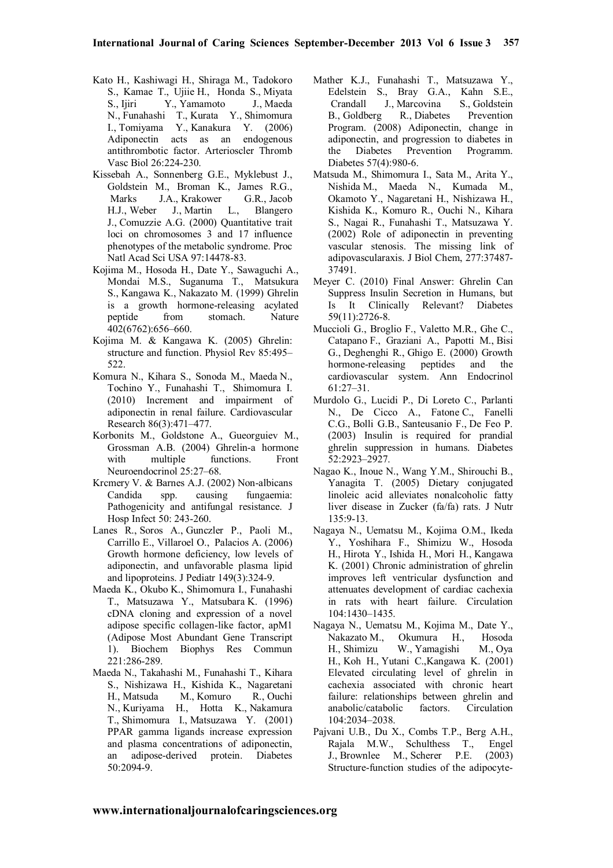- Kato H., Kashiwagi H., Shiraga M., Tadokoro S., Kamae T., Ujiie H., Honda S., Miyata S., Ijiri Y., Yamamoto J., Maeda N., Funahashi T., Kurata Y., Shimomura I., Tomiyama Y., Kanakura Y. (2006) Adiponectin acts as an endogenous antithrombotic factor. Arterioscler Thromb Vasc Biol 26:224-230.
- Kissebah A., Sonnenberg G.E., Myklebust J., Goldstein M., Broman K., James R.G., Marks J.A., Krakower G.R., Jacob H.J., Weber J., Martin L., Blangero J., Comuzzie A.G. (2000) Quantitative trait loci on chromosomes 3 and 17 influence phenotypes of the metabolic syndrome. Proc Natl Acad Sci USA 97:14478-83.
- Kojima M., Hosoda H., Date Y., Sawaguchi A., Mondai M.S., Suganuma Т., Matsukura S., Kangawa K., Nakazato M. (1999) Ghrelin is a growth hormone-releasing acylated peptide from stomach. Nature 402(6762):656–660.
- Kojima M. & Kangawa K. (2005) Ghrelin: structure and function. Physiol Rev 85:495– 522.
- Komura N., Kihara S., Sonoda M., Maeda N., Tochino Y., Funahashi T., Shimomura I. (2010) Increment and impairment of adiponectin in renal failure. Cardiovascular Research 86(3):471–477.
- Korbonits M., Goldstone A., Gueorguiev M., Grossman A.B. (2004) Ghrelin-a hormone with multiple functions. Front Neuroendocrinol 25:27–68.
- Krcmery V. & Barnes A.J. (2002) Non-albicans Candida spp. causing fungaemia: Pathogenicity and antifungal resistance. J Hosp Infect 50: 243-260.
- Lanes R., Soros A., Gunczler P., Paoli M., Carrillo E., Villaroel O., Palacios A. (2006) Growth hormone deficiency, low levels of adiponectin, and unfavorable plasma lipid and lipoproteins. J Pediatr 149(3):324-9.
- Maeda K., Okubo K., Shimomura I., Funahashi T., Matsuzawa Y., Matsubara K. (1996) cDNA cloning and expression of a novel adipose specific collagen-like factor, apM1 (Adipose Most Abundant Gene Transcript 1). Biochem Biophys Res Commun 221:286-289.
- Maeda N., Takahashi M., Funahashi T., Kihara S., Nishizawa H., Kishida K., Nagaretani H., Matsuda M., Komuro R., Ouchi N., Kuriyama H., Hotta K., Nakamura T., Shimomura I., Matsuzawa Y. (2001) PPAR gamma ligands increase expression and plasma concentrations of adiponectin, an adipose-derived protein. Diabetes 50:2094-9.
- Mather K.J., Funahashi T., Matsuzawa Y., Edelstein S., Bray G.A., Kahn S.E., Crandall J., Marcovina S., Goldstein B., Goldberg R., Diabetes Prevention Program. (2008) Adiponectin, change in adiponectin, and progression to diabetes in the Diabetes Prevention Programm. Diabetes 57(4):980-6.
- Matsuda M., Shimomura I., Sata M., Arita Y., Nishida M., Maeda N., Kumada M., Okamoto Y., Nagaretani H., Nishizawa H., Kishida K., Komuro R., Ouchi N., Kihara S., Nagai R., Funahashi T., Matsuzawa Y. (2002) Role of adiponectin in preventing vascular stenosis. The missing link of adipovascularaxis. J Biol Chem, 277:37487- 37491.
- Meyer C. (2010) Final Answer: Ghrelin Can Suppress Insulin Secretion in Humans, but Is It Clinically Relevant? Diabetes 59(11):2726-8.
- Muccioli G., Broglio F., Valetto M.R., Ghe C., Catapano F., Graziani A., Papotti M., Bisi G., Deghenghi R., Ghigo E. (2000) Growth hormone-releasing peptides and the cardiovascular system. Ann Endocrinol 61:27–31.
- Murdolo G., Lucidi P., Di Loreto C., Parlanti N., De Cicco A., Fatone C., Fanelli C.G., Bolli G.B., Santeusanio F., De Feo P. (2003) Insulin is required for prandial ghrelin suppression in humans. Diabetes 52:2923–2927.
- Nagao K., Inoue N., Wang Y.M., Shirouchi B., Yanagita T. (2005) Dietary conjugated linoleic acid alleviates nonalcoholic fatty liver disease in Zucker (fa/fa) rats. J Nutr 135:9-13.
- Nagaya N., Uematsu M., Kojima O.M., Ikeda Y., Yoshihara F., Shimizu W., Hosoda H., Hirota Y., Ishida H., Mori H., Kangawa K. (2001) Chronic administration of ghrelin improves left ventricular dysfunction and attenuates development of cardiac cachexia in rats with heart failure. Circulation 104:1430–1435.
- Nagaya N., Uematsu M., Kojima M., Date Y., Nakazato M., Okumura H., Hosoda W., Yamagishi H., Koh H., Yutani C.,Kangawa K. (2001) Elevated circulating level of ghrelin in cachexia associated with chronic heart failure: relationships between ghrelin and anabolic/catabolic factors. Circulation 104:2034–2038.
- Pajvani U.B., Du X., Combs T.P., Berg A.H., Rajala M.W., Schulthess T., Engel J., Brownlee M., Scherer P.E. (2003) Structure-function studies of the adipocyte-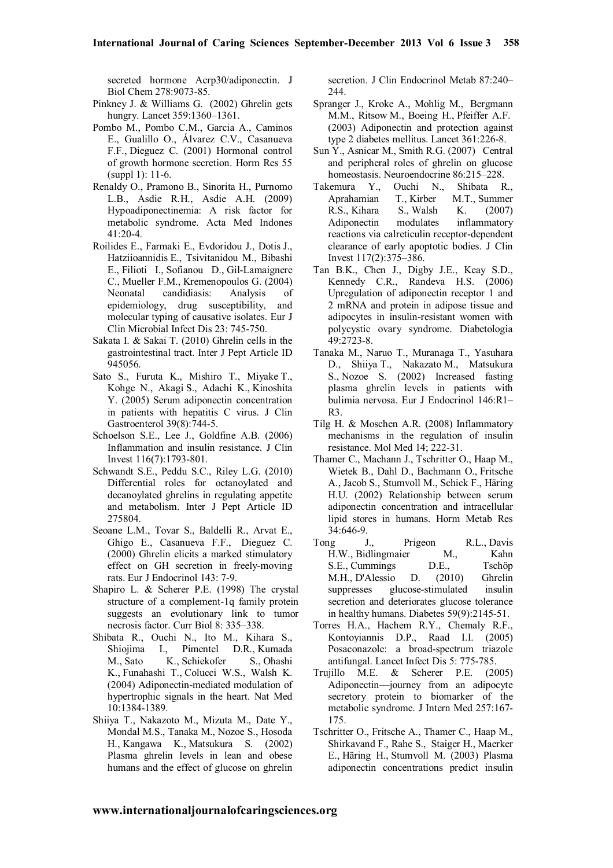secreted hormone Acrp30/adiponectin. J Biol Chem 278:9073-85.

- Pinkney J. & Williams G. (2002) Ghrelin gets hungry. Lancet 359:1360–1361.
- Pombo M., Pombo C.M., Garcia A., Caminos E., Gualillo O., Álvarez C.V., Casanueva F.F., Dieguez C. (2001) Hormonal control of growth hormone secretion. Horm Res 55 (suppl 1): 11-6.
- Renaldy O., Pramono B., Sinorita H., Purnomo L.B., Asdie R.H., Asdie A.H. (2009) Hypoadiponectinemia: A risk factor for metabolic syndrome. Acta Med Indones  $41.20 - 4$
- Roilides E., Farmaki E., Evdoridou J., Dotis J., Hatziioannidis E., Tsivitanidou M., Bibashi E., Filioti I., Sofianou D., Gil-Lamaignere C., Mueller F.M., Kremenopoulos G. (2004) Neonatal candidiasis: Analysis of epidemiology, drug susceptibility, and molecular typing of causative isolates. Eur J Clin Microbial Infect Dis 23: 745-750.
- Sakata I. & Sakai T. (2010) Ghrelin cells in the gastrointestinal tract. Inter J Pept Article ID 945056.
- Sato S., Furuta K., Mishiro T., Miyake T., Kohge N., Akagi S., Adachi K., Kinoshita Y. (2005) Serum adiponectin concentration in patients with hepatitis C virus. J Clin Gastroenterol 39(8):744-5.
- Schoelson S.E., Lee J., Goldfine A.B. (2006) Inflammation and insulin resistance. J Clin Invest 116(7):1793-801.
- Schwandt S.E., Peddu S.C., Riley L.G. (2010) Differential roles for octanoylated and decanoylated ghrelins in regulating appetite and metabolism. Inter J Pept Article ID 275804.
- Seoane L.M., Tovar S., Baldelli R., Arvat E., Ghigo E., Casanueva F.F., Dieguez C. (2000) Ghrelin elicits a marked stimulatory effect on GH secretion in freely-moving rats. Eur J Endocrinol 143: 7-9.
- Shapiro L. & Scherer P.E. (1998) The crystal structure of a complement-1q family protein suggests an evolutionary link to tumor necrosis factor. Curr Biol 8: 335–338.
- Shibata R., Ouchi N., Ito M., Kihara S., I., Pimentel D.R., Kumada M., Sato K., Schiekofer S., Ohashi K., Funahashi T., Colucci W.S., Walsh K. (2004) Adiponectin-mediated modulation of hypertrophic signals in the heart. Nat Med 10:1384-1389.
- Shiiya T., Nakazoto M., Mizuta M., Date Y., Mondal M.S., Tanaka M., Nozoe S., Hosoda H., Kangawa K., Matsukura S. (2002) Plasma ghrelin levels in lean and obese humans and the effect of glucose on ghrelin

secretion. J Clin Endocrinol Metab 87:240– 244.

- Spranger J., Kroke A., Mohlig M., Bergmann M.M., Ritsow M., Boeing H., Pfeiffer A.F. (2003) Adiponectin and protection against type 2 diabetes mellitus. Lancet 361:226-8.
- Sun Y., Asnicar M., Smith R.G. (2007) Central and peripheral roles of ghrelin on glucose homeostasis. Neuroendocrine 86:215–228.
- Takemura Y., Ouchi N., Shibata R., Aprahamian T., Kirber M.T., Summer R.S., Kihara S., Walsh K. (2007) Adiponectin modulates inflammatory reactions via calreticulin receptor-dependent clearance of early apoptotic bodies. J Clin Invest 117(2):375–386.
- Tan B.K., Chen J., Digby J.E., Keay S.D., Kennedy C.R., Randeva H.S. (2006) Upregulation of adiponectin receptor 1 and 2 mRNA and protein in adipose tissue and adipocytes in insulin-resistant women with polycystic ovary syndrome. Diabetologia 49:2723-8.
- Tanaka M., Naruo T., Muranaga T., Yasuhara D., Shiiya T., Nakazato M., Matsukura S., Nozoe S. (2002) Increased fasting plasma ghrelin levels in patients with bulimia nervosa. Eur J Endocrinol 146:R1– R3.
- Tilg H. & Moschen A.R. (2008) Inflammatory mechanisms in the regulation of insulin resistance. Mol Med 14; 222-31.
- Thamer C., Machann J., Tschritter O., Haap M., Wietek B., Dahl D., Bachmann O., Fritsche A., Jacob S., Stumvoll M., Schick F., Häring H.U. (2002) Relationship between serum adiponectin concentration and intracellular lipid stores in humans. Horm Metab Res 34:646-9.
- Tong J., Prigeon R.L., Davis H.W., Bidlingmaier M., Kahn S.E., Cummings D.E., Tschöp M.H., D'Alessio D. (2010) Ghrelin suppresses glucose-stimulated insulin secretion and deteriorates glucose tolerance in healthy humans. Diabetes 59(9):2145-51.
- Torres H.A., Hachem R.Y., Chemaly R.F., Kontoyiannis D.P., Raad I.I. (2005) Posaconazole: a broad-spectrum triazole antifungal. Lancet Infect Dis 5: 775-785.
- Trujillo M.E. & Scherer P.E. (2005) Adiponectin—journey from an adipocyte secretory protein to biomarker of the metabolic syndrome. J Intern Med 257:167- 175.
- Tschritter O., Fritsche A., Thamer C., Haap M., Shirkavand F., Rahe S., Staiger H., Maerker E., Häring H., Stumvoll M. (2003) Plasma adiponectin concentrations predict insulin